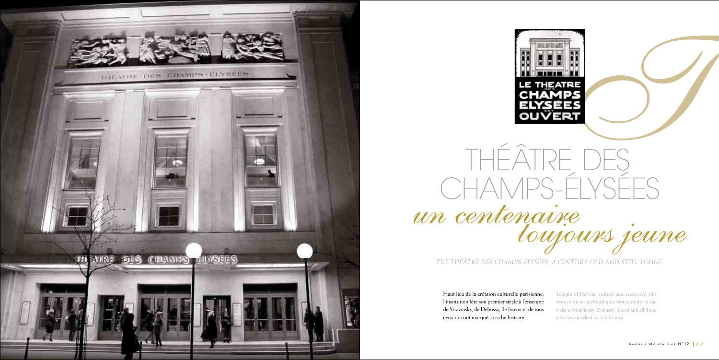



Haut lieu de la création culturelle parisienne, l'institution fête son premier siècle à l'enseigne de Stravinsky, de Debussy, de Jouvet et de tous ceux qui ont marqué sa riche histoire.

- Temple of Parisian culture and creativity, this
- institution is celebrating its first century in the
- wake of Stravinsky, Debussy, Jouvet and all those
- who have marked its rich history.

*The Théâtre des Champs-Elysées, a century old and still young*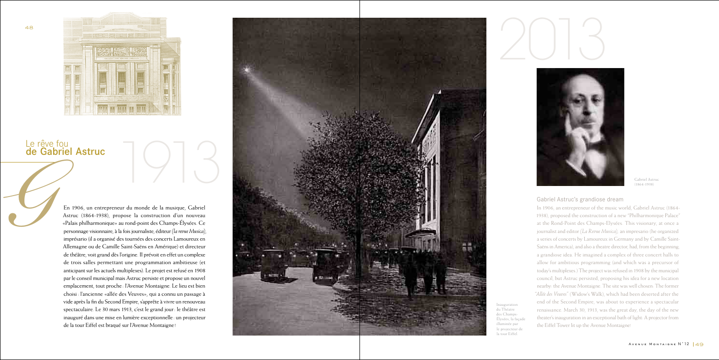

Gabriel Astruc (1864-1938)



#### Le rêve fou de Gabriel Astruc

#### Gabriel Astruc's grandiose dream

En 1906, un entrepreneur du monde de la musique, Gabriel Astruc (1864-1938), propose la construction d'un nouveau «Palais philharmonique» au rond-point des Champs-Élysées. Ce personnage visionnaire, à la fois journaliste, éditeur *(la revue Musica)*, imprésario (il a organisé des tournées des concerts Lamoureux en Allemagne ou de Camille Saint-Saëns en Amérique) et directeur de théâtre, voit grand dès l'origine. Il prévoit en effet un complexe de trois salles permettant une programmation ambitieuse (et anticipant sur les actuels multiplexes). Le projet est refusé en 1908 par le conseil municipal mais Astruc persiste et propose un nouvel emplacement, tout proche: l'Avenue Montaigne. Le lieu est bien choisi: l'ancienne «allée des Veuves», qui a connu un passage à vide après la fin du Second Empire, s'apprête à vivre un renouveau spectaculaire. Le 30 mars 1913, c'est le grand jour: le théâtre est inauguré dans une mise en lumière exceptionnelle: un projecteur de la tour Eiffel est braqué sur l'Avenue Montaigne ! Le rêve fou<br> **de Gabriel Astruc**<br>
En 1906, un entrepreneur du monde de la musique, Gabriel<br>
Astruc (1864-1938), propose la construction d'un nouveau<br>
«Palais philharmonique» au rond-point des Champs-Élysées. Ce<br>
personnage

In 1906, an entrepreneur of the music world, Gabriel Astruc (1864- 1938), proposed the construction of a new "Philharmonique Palace" at the Rond-Point des Champs-Elysées. This visionary, at once a journalist and editor *(La Revue Musica),* an impresario (he organized a series of concerts by Lamoureux in Germany and by Camille Saint-Saëns in America), and also a theatre director, had, from the beginning, a grandiose idea. He imagined a complex of three concert halls to allow for ambitious programming (and which was a precursor of today's multiplexes.) The project was refused in 1908 by the municipal council, but Astruc persisted, proposing his idea for a new location nearby: the Avenue Montaigne. The site was well chosen: The former *"Allée des Veuves"* (Widow's Walk), which had been deserted after the end of the Second Empire, was about to experience a spectacular renaissance. March 30, 1913, was the great day, the day of the new theater's inauguration in an exceptional bath of light: A projector from the Eiffel Tower lit up the Avenue Montaigne!



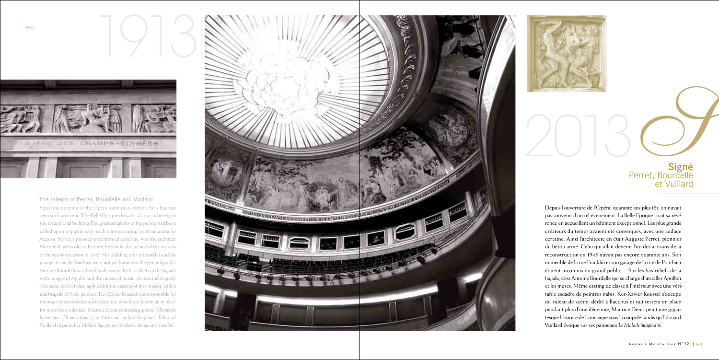Depuis l'ouverture de l'Opéra, quarante ans plus tôt, on n'avait pas souvenir d'un tel événement. La Belle Epoque tirait sa révé rence en accueillant un bâtiment exceptionnel. Les plus grands créateurs du temps avaient été convoqués, avec une audace certaine. Ainsi l'architecte en était Auguste Perret, pionnier du béton armé. Celui qui allait devenir l'un des artisans de la reconstruction en 1945 n'avait pas encore quarante ans. Son immeuble de la rue Franklin et son garage de la rue de Ponthieu étaient inconnus du grand public… Sur les bas-reliefs de la façade, c'est Antoine Bourdelle qui se charge d'installer Apollon et les muses. Même casting de classe à l'intérieur avec une véri table escadre de peintres nabis. Ker-Xavier Roussel s'occupe du rideau de scène, dédié à Bacchus et qui restera en place pendant plus d'une décennie, Maurice Denis peint une gigan tesque Histoire de la musique sous la coupole tandis qu'Edouard Vuillard évoque sur ses panneaux *Le Malade imaginaire* .



The talents of Perret, Bourdelle and Vuillard Since the opening of the Opera forty years earlier, Paris had not seen such an event. The Belle Epoque drew to a close, ushering in this exceptional building.The greatest talents of the period had been called upon to participate, each demonstrating a certain audacity. Auguste Perret, a pioneer of reinforced concrete, was the architect. Not yet 40 years old at the time, he would also be one of the artisans of the reconstruction in 1945. His building on rue Franklin and his garage of rue de Ponthieu were not yet known to the general public. Antoine Bourdelle was hired to decorate the bas-reliefs of the façade with images of Apollo and the muses of music, drama and tragedy. The same level of class applied for the casting of the interior, with a real brigade of Nabi painters. Ker-Xavier Roussel was responsible for the stage curtain dedicated to Bacchus, which would remain in place for more than a decade. Maurice Denis painted a gigantic *"Histoire de la musique" (History of music)* in the dome, and on the panels, Edouard Vuillard depicted *Le Malade Imaginaire (Moliére's Imaginary Invalid)* .





## Signé<br>Perret, Bourdelle et Vuillard **Signé**<br>Frret, Bourdelle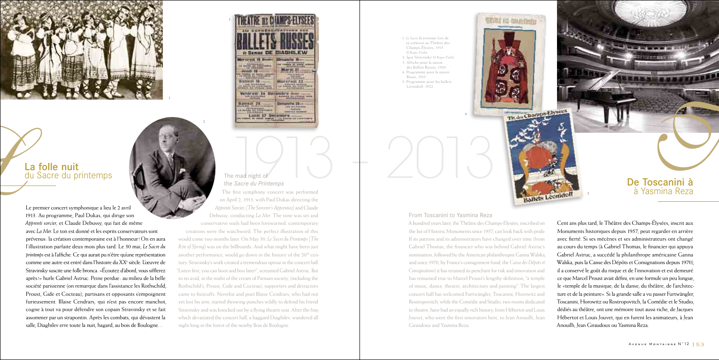Le premier concert symphonique a lieu le 2 avril 1913. Au programme, Paul Dukas, qui dirige son *Apprenti sorcier,* et Claude Debussy, qui fait de même avec *La Mer.* Le ton est donné et les esprits conservateurs sont prévenus: la création contemporaine est à l'honneur! On en aura l'illustration parfaite deux mois plus tard. Le 30 mai, *Le Sacre du printemps* est à l'affiche. Ce qui aurait pu n'être qu'une représentation comme une autre est entré dans l'histoire du XX<sup>e</sup> siècle. L'œuvre de Stravinsky suscite une folle bronca. «Écoutez d'abord, vous sifflerez après!» hurle Gabriel Astruc. Peine perdue: au milieu de la belle société parisienne (on remarque dans l'assistance les Rothschild, Proust, Gide et Cocteau), partisans et opposants s'empoignent furieusement. Blaise Cendrars, qui n'est pas encore manchot, cogne à tout va pour défendre son copain Stravinsky et se fait assommer par un strapontin. Après les combats, qui dévastent la salle, Diaghilev erre toute la nuit, hagard, au bois de Boulogne…

|                                                                                                                                                                        | ш                                                                                                                                            |
|------------------------------------------------------------------------------------------------------------------------------------------------------------------------|----------------------------------------------------------------------------------------------------------------------------------------------|
|                                                                                                                                                                        |                                                                                                                                              |
| DIAGHILEW<br><b>KSEI</b><br>残語图                                                                                                                                        |                                                                                                                                              |
| 121210-010<br><b>COLORADO AND</b>                                                                                                                                      | <b>FEDERATION</b><br>⊞—<br><b><i><u><i><u>estessionis</u></i></u></i></b><br><b>SECTIONARY</b>                                               |
|                                                                                                                                                                        | ARRAIGHAM LARA<br>٣m<br><b>Barried Avenue</b>                                                                                                |
| <b>John American</b><br>are sed into prevailables a<br><b>CONTRACTOR</b><br>181910103.3<br>1,3140<br><b>W. MARINE, 1912 PIRCH TRAIN</b><br>Analyze and presente to see | <b>SHEIRBLLE</b><br><b>CA64488</b><br>provide Park<br><b>A.A. Ward-Rd</b><br><b>ANCHOR CALLS TO STATE FOR</b><br><b><i>Links</i></b> Roberts |
| <b>PERSON</b><br>- 1<br><b><i>CDB BYLINGIBUS</i></b><br>100910<br>19.10 1911<br>44,414,414<br>-------                                                                  |                                                                                                                                              |
| <b>JEFFER ATA</b><br><b>RT RIGGIANA</b><br><b>RE WHO SHEERS</b><br><b>Liminaud</b>                                                                                     | DIN<br><b><i><b>B</b></i> B</b> <sub>1</sub> <i>D</i> <sub><b>R</b><sup></sup><b>B</b><sub>1</sub><i>D</i><sub>R</sub><sup></sup></sub>      |
| 1413 (11)<br>1114-011<br>LE TRIBUNEE                                                                                                                                   |                                                                                                                                              |

#### The mad night of

the *Sacre du Printemps* The first symphony concert was performed on April 2, 1913, with Paul Dukas directing the

*Apprenti Sorcier, (The Sorcerer's Apprentice)* and Claude Debussy, conducting *La Mer.* The tone was set and conservative souls had been forewarned: contemporary

creations were the watchword. The perfect illustration of this would come two months later. On May 30, *Le Sacre du Printemps (The Rite of Spring)* was on the billboards. And what might have been just another performance, would go down in the history of the  $20<sup>th</sup>$  century. Stravinsky's work created a tremendous uproar in the concert hall. "Listen first, you can hoot and boo later!", screamed Gabriel Astruc. But to no avail, in the midst of the cream of Parisian society, (including the Rothschild's, Proust, Gide and Cocteau), supporters and detractors came to fisticuffs. Novelist and poet Blaise Cendrars, who had not yet lost his arm, started throwing punches wildly to defend his friend Stravinsky and was knocked out by a flying theatre seat. After the fray, which devastated the concert hall, a haggard Diaghilev, wandered all night long in the forest of the nearby Bois de Boulogne.

#### From Toscanini to Yasmina Reza

A hundred years later, the Théâtre des Champs-Elysées, inscribed on the list of Historic Monuments since 1957, can look back with pride. If its patrons and its administrators have changed over time (from Gabriel Thomas, the financier who was behind Gabriel Astruc's nomination, followed by the American philanthropist Ganna Walska, and since 1970, by France's consignment fund, the *Caisse des Dépots et Consignations*) it has retained its penchant for risk and innovation and has remained true to Marcel Proust's lengthy definition, "a temple of music, dance, theatre, architecture and painting". The largest concert hall has welcomed Furtwängler, Toscanini, Horowitz and Rostropovitch, while the Comédie and Studio, two rooms dedicated to theatre, have had an equally rich history, from Hébertot and Louis Jouvet, who were the first innovators here, to Jean Anouilh, Jean Giraudoux and Yasmina Reza. Cent ans plus tard, le Théâtre des Champs-Élysées, inscrit aux Monuments historiques depuis 1957, peut regarder en arrière avec fierté. Si ses mécènes et ses administrateurs ont changé au cours du temps (à Gabriel Thomas, le financier qui appuya Gabriel Astruc, a succédé la philanthrope américaine Ganna Walska, puis la Caisse des Dépôts et Consignations depuis 1970), il a conservé le goût du risque et de l'innovation et est demeuré ce que Marcel Proust avait défini, en une formule un peu longue, le «temple de la musique, de la danse, du théâtre, de l'architecture et de la peinture». Si la grande salle a vu passer Furtwängler, Toscanini, Horowitz ou Rostropovitch, la Comédie et le Studio, dédiés au théâtre, ont une mémoire tout aussi riche, de Jacques Hébertot et Louis Jouvet, qui en furent les animateurs, à Jean Anouilh, Jean Giraudoux ou Yasmina Reza.

1. *Le Sacre du printemps* lors de sa création au Théâtre des Champs-Élysées, 1913 *© Roger-Viollet* 2. Igor Stravinsky *© Roger-Viollet* 3. Affiche pour la saison des Ballets Russes, 1920 4. Programme pour la saison Russe, 1913



5. Programme pour les ballets Léonidoff, 1922

The Champs Elysees

2.

3.



### La folle nuit<br>du Sacre du printemps La folle nuit<br>du Sacre du printemps  $\left\{\bigotimes_{\text{The mod right of }\atop \text{the } S \text{ } \text{correlation} } S + 2013 \right\}$

4.